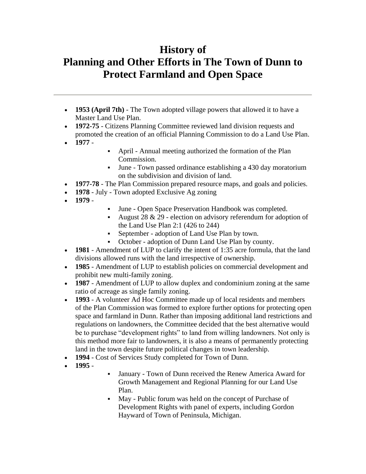## **History of Planning and Other Efforts in The Town of Dunn to Protect Farmland and Open Space**

- **1953 (April 7th)** The Town adopted village powers that allowed it to have a Master Land Use Plan.
- **1972-75** Citizens Planning Committee reviewed land division requests and promoted the creation of an official Planning Commission to do a Land Use Plan.
- **1977** -
- April Annual meeting authorized the formation of the Plan Commission.
- June Town passed ordinance establishing a 430 day moratorium on the subdivision and division of land.
- **1977-78** The Plan Commission prepared resource maps, and goals and policies.
- **1978** July Town adopted Exclusive Ag zoning
- **1979** -
- June Open Space Preservation Handbook was completed.
- August 28 & 29 election on advisory referendum for adoption of the Land Use Plan 2:1 (426 to 244)
- September adoption of Land Use Plan by town.
- October adoption of Dunn Land Use Plan by county.
- **1981** Amendment of LUP to clarify the intent of 1:35 acre formula, that the land divisions allowed runs with the land irrespective of ownership.
- **1985** Amendment of LUP to establish policies on commercial development and prohibit new multi-family zoning.
- **1987** Amendment of LUP to allow duplex and condominium zoning at the same ratio of acreage as single family zoning.
- **1993** A volunteer Ad Hoc Committee made up of local residents and members of the Plan Commission was formed to explore further options for protecting open space and farmland in Dunn. Rather than imposing additional land restrictions and regulations on landowners, the Committee decided that the best alternative would be to purchase "development rights" to land from willing landowners. Not only is this method more fair to landowners, it is also a means of permanently protecting land in the town despite future political changes in town leadership.
- **1994** Cost of Services Study completed for Town of Dunn.
- **1995** -
- January Town of Dunn received the Renew America Award for Growth Management and Regional Planning for our Land Use Plan.
- May Public forum was held on the concept of Purchase of Development Rights with panel of experts, including Gordon Hayward of Town of Peninsula, Michigan.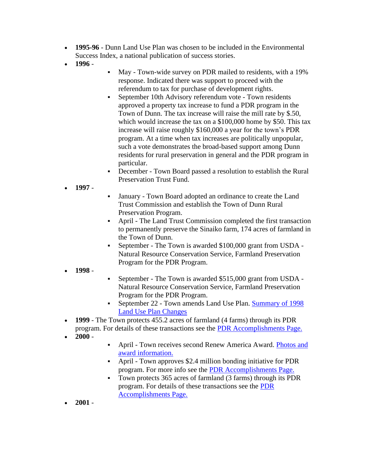- **1995-96** Dunn Land Use Plan was chosen to be included in the Environmental Success Index, a national publication of success stories.
- **1996** -
- May Town-wide survey on PDR mailed to residents, with a 19% response. Indicated there was support to proceed with the referendum to tax for purchase of development rights.
- **•** September 10th Advisory referendum vote Town residents approved a property tax increase to fund a PDR program in the Town of Dunn. The tax increase will raise the mill rate by \$.50, which would increase the tax on a \$100,000 home by \$50. This tax increase will raise roughly \$160,000 a year for the town's PDR program. At a time when tax increases are politically unpopular, such a vote demonstrates the broad-based support among Dunn residents for rural preservation in general and the PDR program in particular.
- December Town Board passed a resolution to establish the Rural Preservation Trust Fund.
- **1997** -
- January Town Board adopted an ordinance to create the Land Trust Commission and establish the Town of Dunn Rural Preservation Program.
- April The Land Trust Commission completed the first transaction to permanently preserve the Sinaiko farm, 174 acres of farmland in the Town of Dunn.
- September The Town is awarded \$100,000 grant from USDA -Natural Resource Conservation Service, Farmland Preservation Program for the PDR Program.
- **1998** -
- September The Town is awarded \$515,000 grant from USDA Natural Resource Conservation Service, Farmland Preservation Program for the PDR Program.
- September 22 Town amends Land Use Plan. Summary of 1998 [Land Use Plan Changes](http://town.dunn.wi.us/LandUse/98lupchangesum.htm)
- **1999** The Town protects 455.2 acres of farmland (4 farms) through its PDR program. For details of these transactions see the [PDR Accomplishments Page.](http://town.dunn.wi.us/LandUse/accomplish.htm)
- $\cdot$  2000 -
- **April Town receives second Renew America Award. Photos and** [award information.](http://town.dunn.wi.us/LandUse/award.htm)
- April Town approves \$2.4 million bonding initiative for PDR program. For more info see the [PDR Accomplishments Page.](http://town.dunn.wi.us/LandUse/accomplish.htm)
- Town protects 365 acres of farmland (3 farms) through its PDR program. For details of these transactions see the [PDR](http://town.dunn.wi.us/LandUse/accomplish.htm)  [Accomplishments Page.](http://town.dunn.wi.us/LandUse/accomplish.htm)
- **2001** -